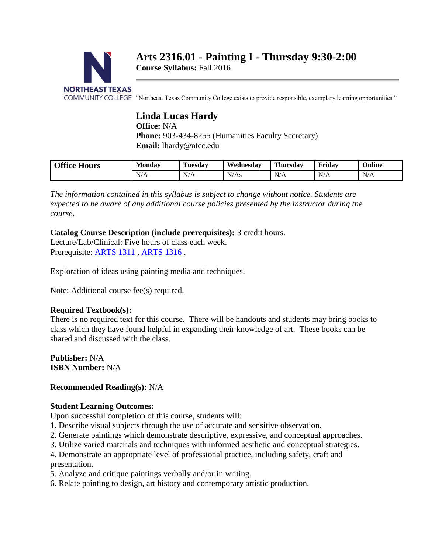

# **Arts 2316.01 - Painting I - Thursday 9:30-2:00**

**Course Syllabus:** Fall 2016

COMMUNITY COLLEGE "Northeast Texas Community College exists to provide responsible, exemplary learning opportunities."

# **Linda Lucas Hardy**

**Office:** N/A Phone: 903-434-8255 (Humanities Faculty Secretary) **Email:** lhardy@ntcc.edu

| Office.<br>$- -$<br><b>Hours</b> | <b>B</b> <i>B</i><br>Monday              | <b>Tuesday</b>      | Wednesdav | <b>Thursday</b>     | Friday               | Online |
|----------------------------------|------------------------------------------|---------------------|-----------|---------------------|----------------------|--------|
|                                  | $\mathbf{v}$<br>N<br>$\sqrt{ }$<br>1 N / | $\mathbf{X}$<br>N/A | N/As      | $\mathbf{v}$<br>N/A | $\mathbf{N}$<br>11/T | N/A    |

*The information contained in this syllabus is subject to change without notice. Students are expected to be aware of any additional course policies presented by the instructor during the course.*

#### **Catalog Course Description (include prerequisites):** 3 credit hours.

Lecture/Lab/Clinical: Five hours of class each week. Prerequisite: [ARTS 1311](http://catalog.ntcc.edu/content.php?catoid=4&catoid=4&navoid=790&filter%5Bitem_type%5D=3&filter%5Bonly_active%5D=1&filter%5B3%5D=1&filter%5Bcpage%5D=1#tt8202), [ARTS 1316](http://catalog.ntcc.edu/content.php?catoid=4&catoid=4&navoid=790&filter%5Bitem_type%5D=3&filter%5Bonly_active%5D=1&filter%5B3%5D=1&filter%5Bcpage%5D=1#tt1447).

Exploration of ideas using painting media and techniques.

Note: Additional course fee(s) required.

#### **Required Textbook(s):**

There is no required text for this course. There will be handouts and students may bring books to class which they have found helpful in expanding their knowledge of art. These books can be shared and discussed with the class.

**Publisher:** N/A **ISBN Number:** N/A

#### **Recommended Reading(s):** N/A

#### **Student Learning Outcomes:**

Upon successful completion of this course, students will:

- 1. Describe visual subjects through the use of accurate and sensitive observation.
- 2. Generate paintings which demonstrate descriptive, expressive, and conceptual approaches.
- 3. Utilize varied materials and techniques with informed aesthetic and conceptual strategies.

4. Demonstrate an appropriate level of professional practice, including safety, craft and presentation.

5. Analyze and critique paintings verbally and/or in writing.

6. Relate painting to design, art history and contemporary artistic production.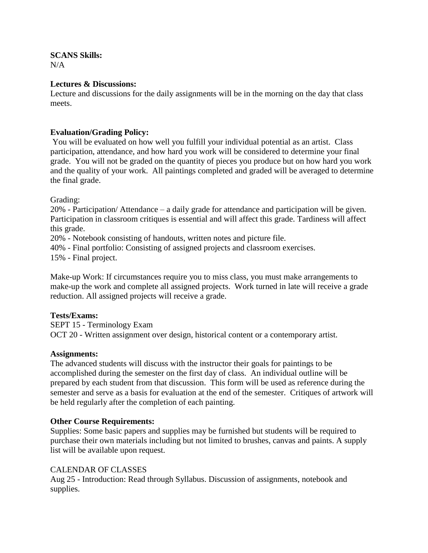**SCANS Skills:**  $N/A$ 

#### **Lectures & Discussions:**

Lecture and discussions for the daily assignments will be in the morning on the day that class meets.

#### **Evaluation/Grading Policy:**

You will be evaluated on how well you fulfill your individual potential as an artist. Class participation, attendance, and how hard you work will be considered to determine your final grade. You will not be graded on the quantity of pieces you produce but on how hard you work and the quality of your work. All paintings completed and graded will be averaged to determine the final grade.

Grading:

20% - Participation/ Attendance – a daily grade for attendance and participation will be given. Participation in classroom critiques is essential and will affect this grade. Tardiness will affect this grade.

20% - Notebook consisting of handouts, written notes and picture file.

40% - Final portfolio: Consisting of assigned projects and classroom exercises.

15% - Final project.

Make-up Work: If circumstances require you to miss class, you must make arrangements to make-up the work and complete all assigned projects. Work turned in late will receive a grade reduction. All assigned projects will receive a grade.

#### **Tests/Exams:**

SEPT 15 - Terminology Exam OCT 20 - Written assignment over design, historical content or a contemporary artist.

#### **Assignments:**

The advanced students will discuss with the instructor their goals for paintings to be accomplished during the semester on the first day of class. An individual outline will be prepared by each student from that discussion. This form will be used as reference during the semester and serve as a basis for evaluation at the end of the semester. Critiques of artwork will be held regularly after the completion of each painting.

#### **Other Course Requirements:**

Supplies: Some basic papers and supplies may be furnished but students will be required to purchase their own materials including but not limited to brushes, canvas and paints. A supply list will be available upon request.

#### CALENDAR OF CLASSES

Aug 25 - Introduction: Read through Syllabus. Discussion of assignments, notebook and supplies.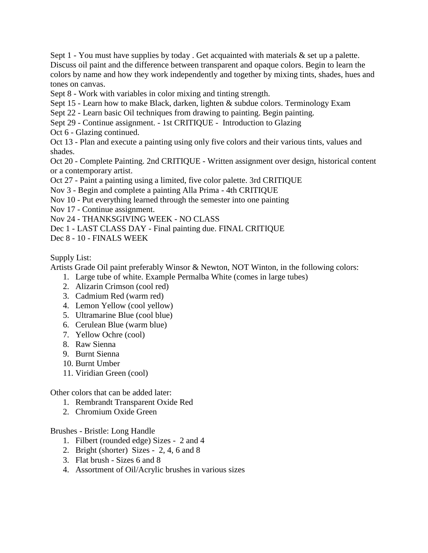Sept 1 - You must have supplies by today. Get acquainted with materials  $\&$  set up a palette. Discuss oil paint and the difference between transparent and opaque colors. Begin to learn the colors by name and how they work independently and together by mixing tints, shades, hues and tones on canvas.

Sept 8 - Work with variables in color mixing and tinting strength.

Sept 15 - Learn how to make Black, darken, lighten & subdue colors. Terminology Exam

Sept 22 - Learn basic Oil techniques from drawing to painting. Begin painting.

Sept 29 - Continue assignment. - 1st CRITIQUE - Introduction to Glazing

Oct 6 - Glazing continued.

Oct 13 - Plan and execute a painting using only five colors and their various tints, values and shades.

Oct 20 - Complete Painting. 2nd CRITIQUE - Written assignment over design, historical content or a contemporary artist.

Oct 27 - Paint a painting using a limited, five color palette. 3rd CRITIQUE

Nov 3 - Begin and complete a painting Alla Prima - 4th CRITIQUE

- Nov 10 Put everything learned through the semester into one painting
- Nov 17 Continue assignment.

Nov 24 - THANKSGIVING WEEK - NO CLASS

Dec 1 - LAST CLASS DAY - Final painting due. FINAL CRITIQUE

Dec 8 - 10 - FINALS WEEK

Supply List:

Artists Grade Oil paint preferably Winsor & Newton, NOT Winton, in the following colors:

- 1. Large tube of white. Example Permalba White (comes in large tubes)
- 2. Alizarin Crimson (cool red)
- 3. Cadmium Red (warm red)
- 4. Lemon Yellow (cool yellow)
- 5. Ultramarine Blue (cool blue)
- 6. Cerulean Blue (warm blue)
- 7. Yellow Ochre (cool)
- 8. Raw Sienna
- 9. Burnt Sienna
- 10. Burnt Umber
- 11. Viridian Green (cool)

Other colors that can be added later:

- 1. Rembrandt Transparent Oxide Red
- 2. Chromium Oxide Green

#### Brushes - Bristle: Long Handle

- 1. Filbert (rounded edge) Sizes 2 and 4
- 2. Bright (shorter) Sizes 2, 4, 6 and 8
- 3. Flat brush Sizes 6 and 8
- 4. Assortment of Oil/Acrylic brushes in various sizes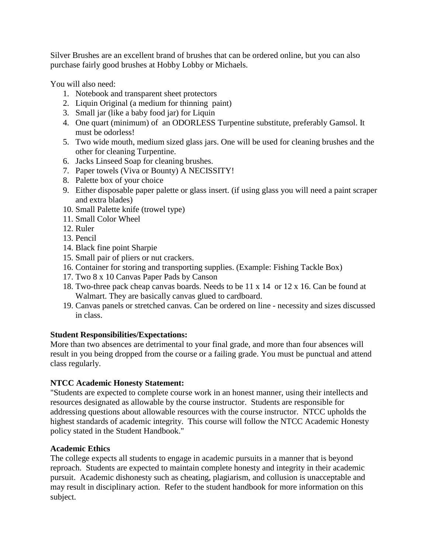Silver Brushes are an excellent brand of brushes that can be ordered online, but you can also purchase fairly good brushes at Hobby Lobby or Michaels.

You will also need:

- 1. Notebook and transparent sheet protectors
- 2. Liquin Original (a medium for thinning paint)
- 3. Small jar (like a baby food jar) for Liquin
- 4. One quart (minimum) of an ODORLESS Turpentine substitute, preferably Gamsol. It must be odorless!
- 5. Two wide mouth, medium sized glass jars. One will be used for cleaning brushes and the other for cleaning Turpentine.
- 6. Jacks Linseed Soap for cleaning brushes.
- 7. Paper towels (Viva or Bounty) A NECISSITY!
- 8. Palette box of your choice
- 9. Either disposable paper palette or glass insert. (if using glass you will need a paint scraper and extra blades)
- 10. Small Palette knife (trowel type)
- 11. Small Color Wheel
- 12. Ruler
- 13. Pencil
- 14. Black fine point Sharpie
- 15. Small pair of pliers or nut crackers.
- 16. Container for storing and transporting supplies. (Example: Fishing Tackle Box)
- 17. Two 8 x 10 Canvas Paper Pads by Canson
- 18. Two-three pack cheap canvas boards. Needs to be 11 x 14 or 12 x 16. Can be found at Walmart. They are basically canvas glued to cardboard.
- 19. Canvas panels or stretched canvas. Can be ordered on line necessity and sizes discussed in class.

# **Student Responsibilities/Expectations:**

More than two absences are detrimental to your final grade, and more than four absences will result in you being dropped from the course or a failing grade. You must be punctual and attend class regularly.

# **NTCC Academic Honesty Statement:**

"Students are expected to complete course work in an honest manner, using their intellects and resources designated as allowable by the course instructor. Students are responsible for addressing questions about allowable resources with the course instructor. NTCC upholds the highest standards of academic integrity. This course will follow the NTCC Academic Honesty policy stated in the Student Handbook."

# **Academic Ethics**

The college expects all students to engage in academic pursuits in a manner that is beyond reproach. Students are expected to maintain complete honesty and integrity in their academic pursuit. Academic dishonesty such as cheating, plagiarism, and collusion is unacceptable and may result in disciplinary action. Refer to the student handbook for more information on this subject.